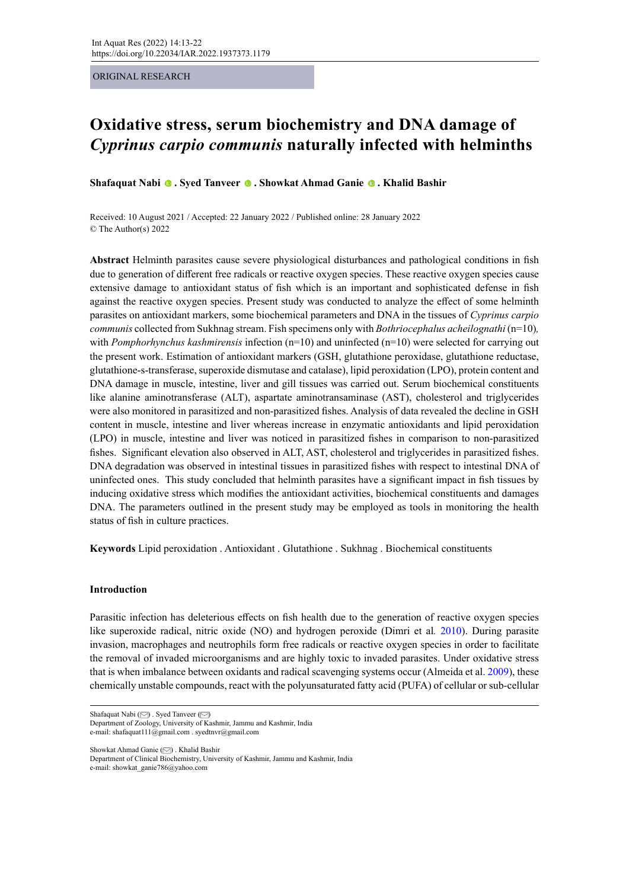## ORIGINAL RESEARCH

# **Oxidative stress, serum biochemistry and DNA damage of**  *Cyprinus carpio communis* **naturally infected with helminths**

**Shafaquat Nabi. Syed Tanveer. Showkat Ahmad Ganie. Khalid Bashir**

Received: 10 August 2021 / Accepted: 22 January 2022 / Published online: 28 January 2022 © The Author(s) 2022

**Abstract** Helminth parasites cause severe physiological disturbances and pathological conditions in fish due to generation of different free radicals or reactive oxygen species. These reactive oxygen species cause extensive damage to antioxidant status of fish which is an important and sophisticated defense in fish against the reactive oxygen species. Present study was conducted to analyze the effect of some helminth parasites on antioxidant markers, some biochemical parameters and DNA in the tissues of *Cyprinus carpio communis* collected from Sukhnag stream. Fish specimens only with *Bothriocephalus acheilognathi* (n=10)*,* with *Pomphorhynchus kashmirensis* infection (n=10) and uninfected (n=10) were selected for carrying out the present work. Estimation of antioxidant markers (GSH, glutathione peroxidase, glutathione reductase, glutathione-s-transferase, superoxide dismutase and catalase), lipid peroxidation (LPO), protein content and DNA damage in muscle, intestine, liver and gill tissues was carried out. Serum biochemical constituents like alanine aminotransferase (ALT), aspartate aminotransaminase (AST), cholesterol and triglycerides were also monitored in parasitized and non-parasitized fishes. Analysis of data revealed the decline in GSH content in muscle, intestine and liver whereas increase in enzymatic antioxidants and lipid peroxidation (LPO) in muscle, intestine and liver was noticed in parasitized fishes in comparison to non-parasitized fishes. Significant elevation also observed in ALT, AST, cholesterol and triglycerides in parasitized fishes. DNA degradation was observed in intestinal tissues in parasitized fishes with respect to intestinal DNA of uninfected ones. This study concluded that helminth parasites have a significant impact in fish tissues by inducing oxidative stress which modifies the antioxidant activities, biochemical constituents and damages DNA. The parameters outlined in the present study may be employed as tools in monitoring the health status of fish in culture practices.

**Keywords** Lipid peroxidation . Antioxidant . Glutathione . Sukhnag . Biochemical constituents

## **Introduction**

Parasitic infection has deleterious effects on fish health due to the generation of reactive oxygen species like superoxide radical, nitric oxide (NO) and hydrogen peroxide (Dimri et al*.* 2010). During parasite invasion, macrophages and neutrophils form free radicals or reactive oxygen species in order to facilitate the removal of invaded microorganisms and are highly toxic to invaded parasites. Under oxidative stress that is when imbalance between oxidants and radical scavenging systems occur (Almeida et al. 2009), these chemically unstable compounds, react with the polyunsaturated fatty acid (PUFA) of cellular or sub-cellular

Showkat Ahmad Ganie ( $\oslash$ ). Khalid Bashir

Department of Clinical Biochemistry, University of Kashmir, Jammu and Kashmir, India e-mail: showkat\_ganie786@yahoo.com

Shafaquat Nabi [\(](mailto:shafaquat111%40gmail.com?subject=) $\oslash$ [\)](mailto:syedtnvr%40gmail.com?subject=). Syed Tanveer ( $\oslash$ ) Department of Zoology, University of Kashmir, Jammu and Kashmir, India e-mail: shafaquat111@gmail.com . syedtnvr@gmail.com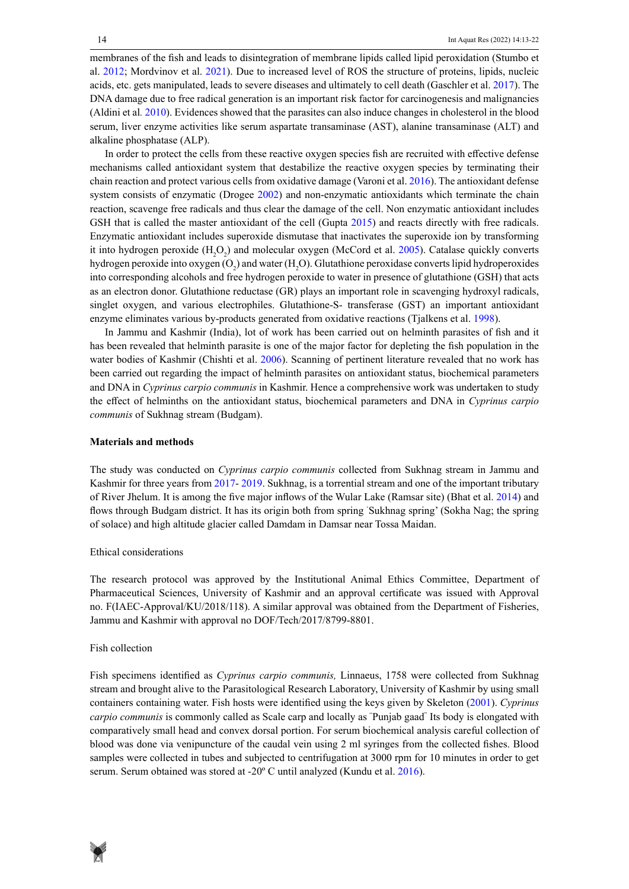membranes of the fish and leads to disintegration of membrane lipids called lipid peroxidation (Stumbo et al. 2012; Mordvinov et al. 2021). Due to increased level of ROS the structure of proteins, lipids, nucleic acids, etc. gets manipulated, leads to severe diseases and ultimately to cell death (Gaschler et al. 2017). The DNA damage due to free radical generation is an important risk factor for carcinogenesis and malignancies (Aldini et al*.* 2010). Evidences showed that the parasites can also induce changes in cholesterol in the blood serum, liver enzyme activities like serum aspartate transaminase (AST), alanine transaminase (ALT) and alkaline phosphatase (ALP).

In order to protect the cells from these reactive oxygen species fish are recruited with effective defense mechanisms called antioxidant system that destabilize the reactive oxygen species by terminating their chain reaction and protect various cells from oxidative damage (Varoni et al. 2016). The antioxidant defense system consists of enzymatic (Drogee 2002) and non-enzymatic antioxidants which terminate the chain reaction, scavenge free radicals and thus clear the damage of the cell. Non enzymatic antioxidant includes GSH that is called the master antioxidant of the cell (Gupta 2015) and reacts directly with free radicals. Enzymatic antioxidant includes superoxide dismutase that inactivates the superoxide ion by transforming it into hydrogen peroxide  $(H_2O_2)$  and molecular oxygen (McCord et al. 2005). Catalase quickly converts hydrogen peroxide into oxygen (O<sub>2</sub>) and water (H<sub>2</sub>O). Glutathione peroxidase converts lipid hydroperoxides into corresponding alcohols and free hydrogen peroxide to water in presence of glutathione (GSH) that acts as an electron donor. Glutathione reductase (GR) plays an important role in scavenging hydroxyl radicals, singlet oxygen, and various electrophiles. Glutathione-S- transferase (GST) an important antioxidant enzyme eliminates various by-products generated from oxidative reactions (Tjalkens et al. 1998).

In Jammu and Kashmir (India), lot of work has been carried out on helminth parasites of fish and it has been revealed that helminth parasite is one of the major factor for depleting the fish population in the water bodies of Kashmir (Chishti et al. 2006). Scanning of pertinent literature revealed that no work has been carried out regarding the impact of helminth parasites on antioxidant status, biochemical parameters and DNA in *Cyprinus carpio communis* in Kashmir. Hence a comprehensive work was undertaken to study the effect of helminths on the antioxidant status, biochemical parameters and DNA in *Cyprinus carpio communis* of Sukhnag stream (Budgam).

## **Materials and methods**

The study was conducted on *Cyprinus carpio communis* collected from Sukhnag stream in Jammu and Kashmir for three years from 2017- 2019. Sukhnag, is a torrential stream and one of the important tributary of River Jhelum. It is among the five major inflows of the Wular Lake (Ramsar site) (Bhat et al. 2014) and flows through Budgam district. It has its origin both from spring ' Sukhnag spring' (Sokha Nag; the spring of solace) and high altitude glacier called Damdam in Damsar near Tossa Maidan.

## Ethical considerations

The research protocol was approved by the Institutional Animal Ethics Committee, Department of Pharmaceutical Sciences, University of Kashmir and an approval certificate was issued with Approval no. F(IAEC-Approval/KU/2018/118). A similar approval was obtained from the Department of Fisheries, Jammu and Kashmir with approval no DOF/Tech/2017/8799-8801.

#### Fish collection

Fish specimens identified as *Cyprinus carpio communis,* Linnaeus, 1758 were collected from Sukhnag stream and brought alive to the Parasitological Research Laboratory, University of Kashmir by using small containers containing water. Fish hosts were identified using the keys given by Skeleton (2001). *Cyprinus carpio communis* is commonly called as Scale carp and locally as " Punjab gaad" Its body is elongated with comparatively small head and convex dorsal portion. For serum biochemical analysis careful collection of blood was done via venipuncture of the caudal vein using 2 ml syringes from the collected fishes. Blood samples were collected in tubes and subjected to centrifugation at 3000 rpm for 10 minutes in order to get serum. Serum obtained was stored at -20º C until analyzed (Kundu et al. 2016).

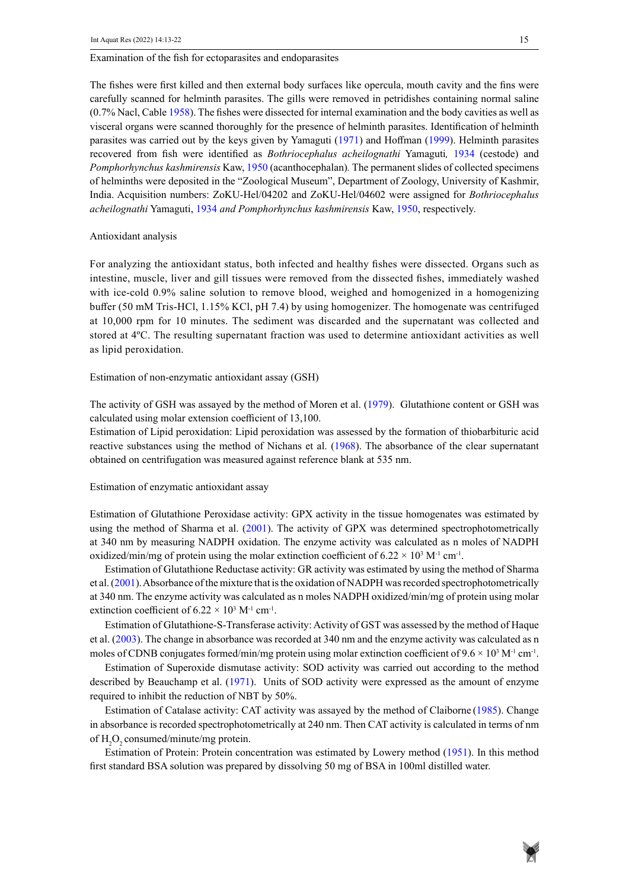#### Examination of the fish for ectoparasites and endoparasites

The fishes were first killed and then external body surfaces like opercula, mouth cavity and the fins were carefully scanned for helminth parasites. The gills were removed in petridishes containing normal saline (0.7% Nacl, Cable 1958). The fishes were dissected for internal examination and the body cavities as well as visceral organs were scanned thoroughly for the presence of helminth parasites. Identification of helminth parasites was carried out by the keys given by Yamaguti (1971) and Hoffman (1999). Helminth parasites recovered from fish were identified as *Bothriocephalus acheilognathi* Yamaguti*,* 1934 (cestode) and *Pomphorhynchus kashmirensis* Kaw, 1950 (acanthocephalan)*.* The permanent slides of collected specimens of helminths were deposited in the "Zoological Museum", Department of Zoology, University of Kashmir, India. Acquisition numbers: ZoKU-Hel/04202 and ZoKU-Hel/04602 were assigned for *Bothriocephalus acheilognathi* Yamaguti, 1934 *and Pomphorhynchus kashmirensis* Kaw, 1950, respectively.

#### Antioxidant analysis

For analyzing the antioxidant status, both infected and healthy fishes were dissected. Organs such as intestine, muscle, liver and gill tissues were removed from the dissected fishes, immediately washed with ice-cold 0.9% saline solution to remove blood, weighed and homogenized in a homogenizing buffer (50 mM Tris-HCl, 1.15% KCl, pH 7.4) by using homogenizer. The homogenate was centrifuged at 10,000 rpm for 10 minutes. The sediment was discarded and the supernatant was collected and stored at 4ºC. The resulting supernatant fraction was used to determine antioxidant activities as well as lipid peroxidation.

Estimation of non-enzymatic antioxidant assay (GSH)

The activity of GSH was assayed by the method of Moren et al. (1979). Glutathione content or GSH was calculated using molar extension coefficient of 13,100.

Estimation of Lipid peroxidation: Lipid peroxidation was assessed by the formation of thiobarbituric acid reactive substances using the method of Nichans et al. (1968). The absorbance of the clear supernatant obtained on centrifugation was measured against reference blank at 535 nm.

#### Estimation of enzymatic antioxidant assay

Estimation of Glutathione Peroxidase activity: GPX activity in the tissue homogenates was estimated by using the method of Sharma et al. (2001). The activity of GPX was determined spectrophotometrically at 340 nm by measuring NADPH oxidation. The enzyme activity was calculated as n moles of NADPH oxidized/min/mg of protein using the molar extinction coefficient of  $6.22 \times 10^3$  M<sup>-1</sup> cm<sup>-1</sup>.

Estimation of Glutathione Reductase activity: GR activity was estimated by using the method of Sharma et al. (2001). Absorbance of the mixture that is the oxidation of NADPH was recorded spectrophotometrically at 340 nm. The enzyme activity was calculated as n moles NADPH oxidized/min/mg of protein using molar extinction coefficient of  $6.22 \times 10^3$  M<sup>-1</sup> cm<sup>-1</sup>.

Estimation of Glutathione-S-Transferase activity: Activity of GST was assessed by the method of Haque et al. (2003). The change in absorbance was recorded at 340 nm and the enzyme activity was calculated as n moles of CDNB conjugates formed/min/mg protein using molar extinction coefficient of  $9.6 \times 10^3$  M<sup>-1</sup> cm<sup>-1</sup>.

Estimation of Superoxide dismutase activity: SOD activity was carried out according to the method described by Beauchamp et al. (1971). Units of SOD activity were expressed as the amount of enzyme required to inhibit the reduction of NBT by 50%.

Estimation of Catalase activity: CAT activity was assayed by the method of Claiborne (1985). Change in absorbance is recorded spectrophotometrically at 240 nm. Then CAT activity is calculated in terms of nm of  $H_2O_2$  consumed/minute/mg protein.

Estimation of Protein: Protein concentration was estimated by Lowery method (1951). In this method first standard BSA solution was prepared by dissolving 50 mg of BSA in 100ml distilled water.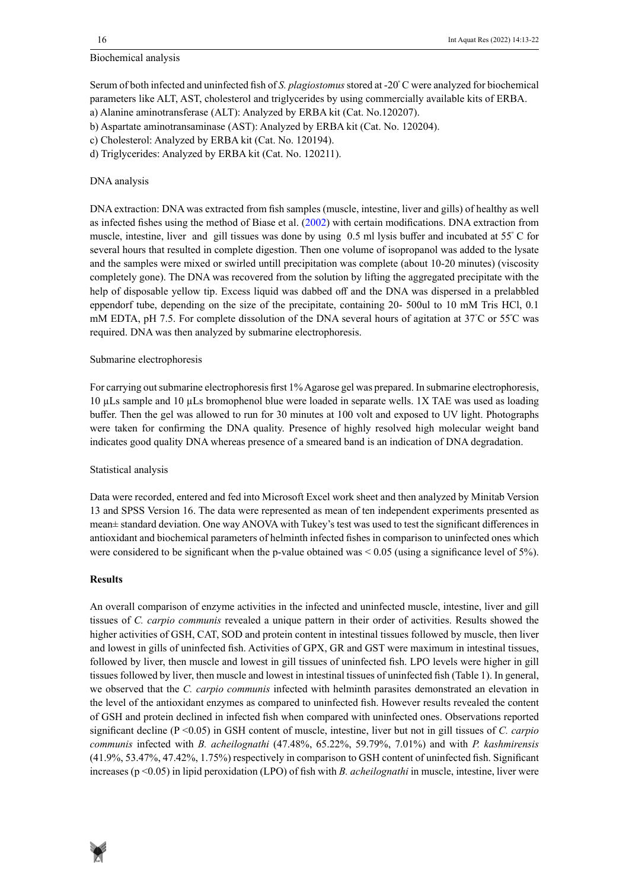## Biochemical analysis

Serum of both infected and uninfected fish of *S. plagiostomus* stored at -20º C were analyzed for biochemical parameters like ALT, AST, cholesterol and triglycerides by using commercially available kits of ERBA.

b) Aspartate aminotransaminase (AST): Analyzed by ERBA kit (Cat. No. 120204).

d) Triglycerides: Analyzed by ERBA kit (Cat. No. 120211).

## DNA analysis

DNA extraction: DNA was extracted from fish samples (muscle, intestine, liver and gills) of healthy as well as infected fishes using the method of Biase et al. (2002) with certain modifications. DNA extraction from muscle, intestine, liver and gill tissues was done by using 0.5 ml lysis buffer and incubated at 55<sup>º</sup> C for several hours that resulted in complete digestion. Then one volume of isopropanol was added to the lysate and the samples were mixed or swirled untill precipitation was complete (about 10-20 minutes) (viscosity completely gone). The DNA was recovered from the solution by lifting the aggregated precipitate with the help of disposable yellow tip. Excess liquid was dabbed off and the DNA was dispersed in a prelabbled eppendorf tube, depending on the size of the precipitate, containing 20- 500ul to 10 mM Tris HCl, 0.1 mM EDTA, pH 7.5. For complete dissolution of the DNA several hours of agitation at 37°C or 55°C was required. DNA was then analyzed by submarine electrophoresis.

## Submarine electrophoresis

For carrying out submarine electrophoresis first 1% Agarose gel was prepared. In submarine electrophoresis, 10 µLs sample and 10 µLs bromophenol blue were loaded in separate wells. 1X TAE was used as loading buffer. Then the gel was allowed to run for 30 minutes at 100 volt and exposed to UV light. Photographs were taken for confirming the DNA quality. Presence of highly resolved high molecular weight band indicates good quality DNA whereas presence of a smeared band is an indication of DNA degradation.

## Statistical analysis

Data were recorded, entered and fed into Microsoft Excel work sheet and then analyzed by Minitab Version 13 and SPSS Version 16. The data were represented as mean of ten independent experiments presented as mean± standard deviation. One way ANOVA with Tukey's test was used to test the significant differences in antioxidant and biochemical parameters of helminth infected fishes in comparison to uninfected ones which were considered to be significant when the p-value obtained was  $\leq 0.05$  (using a significance level of 5%).

## **Results**

An overall comparison of enzyme activities in the infected and uninfected muscle, intestine, liver and gill tissues of *C. carpio communis* revealed a unique pattern in their order of activities. Results showed the higher activities of GSH, CAT, SOD and protein content in intestinal tissues followed by muscle, then liver and lowest in gills of uninfected fish. Activities of GPX, GR and GST were maximum in intestinal tissues, followed by liver, then muscle and lowest in gill tissues of uninfected fish. LPO levels were higher in gill tissues followed by liver, then muscle and lowest in intestinal tissues of uninfected fish (Table 1). In general, we observed that the *C. carpio communis* infected with helminth parasites demonstrated an elevation in the level of the antioxidant enzymes as compared to uninfected fish. However results revealed the content of GSH and protein declined in infected fish when compared with uninfected ones. Observations reported significant decline (P <0.05) in GSH content of muscle, intestine, liver but not in gill tissues of *C. carpio communis* infected with *B. acheilognathi* (47.48%, 65.22%, 59.79%, 7.01%) and with *P. kashmirensis*  (41.9%, 53.47%, 47.42%, 1.75%) respectively in comparison to GSH content of uninfected fish. Significant increases (p <0.05) in lipid peroxidation (LPO) of fish with *B. acheilognathi* in muscle, intestine, liver were



a) Alanine aminotransferase (ALT): Analyzed by ERBA kit (Cat. No.120207).

c) Cholesterol: Analyzed by ERBA kit (Cat. No. 120194).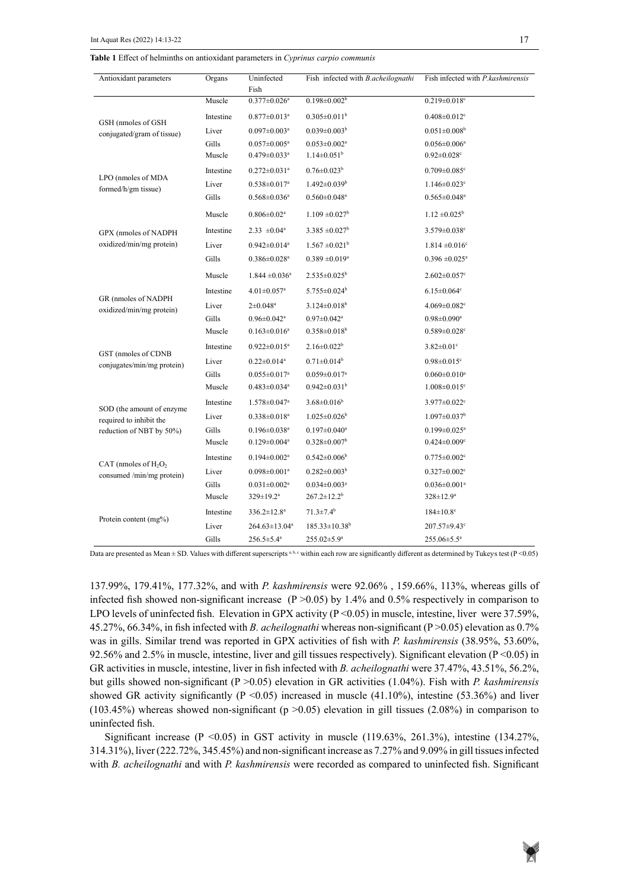**Table 1: Effect of helminths on antioxidant parameters in** *Cyprinus carpio communis* **Table 1** Effect of helminths on antioxidant parameters in *Cyprinus carpio communis*

| Antioxidant parameters                                                           | Organs    | Uninfected<br>Fish             | Fish infected with <i>B.acheilognathi</i> | Fish infected with <i>P.kashmirensis</i> |  |
|----------------------------------------------------------------------------------|-----------|--------------------------------|-------------------------------------------|------------------------------------------|--|
|                                                                                  | Muscle    | $0.377 \pm 0.026$ <sup>a</sup> | $0.198 \pm 0.002^b$                       | $0.219 \pm 0.018$ <sup>c</sup>           |  |
| GSH (nmoles of GSH<br>conjugated/gram of tissue)                                 | Intestine | $0.877 \pm 0.013$ <sup>a</sup> | $0.305 \pm 0.011^b$                       | $0.408 \pm 0.012$ <sup>c</sup>           |  |
|                                                                                  | Liver     | $0.097 \pm 0.003$ <sup>a</sup> | $0.039 \pm 0.003^b$                       | $0.051 \pm 0.008^{\circ}$                |  |
|                                                                                  | Gills     | $0.057 \pm 0.005^{\mathrm{a}}$ | $0.053 \pm 0.002$ <sup>a</sup>            | $0.056 \pm 0.006^a$                      |  |
|                                                                                  | Muscle    | $0.479 \pm 0.033$ <sup>a</sup> | $1.14 \pm 0.051$ <sup>b</sup>             | $0.92 \pm 0.028$ c                       |  |
| LPO (nmoles of MDA<br>formed/h/gm tissue)                                        | Intestine | $0.272 \pm 0.031$ <sup>a</sup> | $0.76 \pm 0.023^b$                        | $0.709 \pm 0.085$ <sup>c</sup>           |  |
|                                                                                  | Liver     | $0.538 \pm 0.017$ <sup>a</sup> | $1.492 \pm 0.039$ <sup>b</sup>            | $1.146 \pm 0.023$ <sup>c</sup>           |  |
|                                                                                  | Gills     | $0.568 \pm 0.036$ <sup>a</sup> | $0.560 \pm 0.048$ <sup>a</sup>            | $0.565 \pm 0.048$ <sup>a</sup>           |  |
| GPX (nmoles of NADPH<br>oxidized/min/mg protein)                                 | Muscle    | $0.806 \pm 0.02$ <sup>a</sup>  | $1.109 \pm 0.027$ <sup>b</sup>            | $1.12 \pm 0.025^{\circ}$                 |  |
|                                                                                  | Intestine | $2.33 \pm 0.04^a$              | $3.385 \pm 0.027^b$                       | $3.579 \pm 0.038$ °                      |  |
|                                                                                  | Liver     | $0.942 \pm 0.014$ <sup>a</sup> | $1.567 \pm 0.021^{\mathrm{b}}$            | $1.814 \pm 0.016$ <sup>c</sup>           |  |
|                                                                                  | Gills     | $0.386 \pm 0.028$ <sup>a</sup> | $0.389 \pm 0.019^a$                       | $0.396 \pm 0.025^{\text{a}}$             |  |
|                                                                                  | Muscle    | $1.844 \pm 0.036$ <sup>a</sup> | $2.535 \pm 0.025^b$                       | $2.602 \pm 0.057$ °                      |  |
|                                                                                  | Intestine | $4.01 \pm 0.057$ <sup>a</sup>  | $5.755 \pm 0.024$ <sup>b</sup>            | $6.15 \pm 0.064$ °                       |  |
| GR (nmoles of NADPH<br>oxidized/min/mg protein)                                  | Liver     | $2 \pm 0.048^{\rm a}$          | $3.124 \pm 0.018$ <sup>b</sup>            | $4.069 \pm 0.082$ <sup>c</sup>           |  |
|                                                                                  | Gills     | $0.96 \pm 0.042$ <sup>a</sup>  | $0.97 \pm 0.042$ <sup>a</sup>             | $0.98 \pm 0.090^a$                       |  |
|                                                                                  | Muscle    | $0.163 \pm 0.016^a$            | $0.358 \pm 0.018$ <sup>b</sup>            | $0.589 \pm 0.028$ <sup>c</sup>           |  |
| GST (nmoles of CDNB<br>conjugates/min/mg protein)                                | Intestine | $0.922 \pm 0.015^a$            | $2.16 \pm 0.022^b$                        | $3.82 \pm 0.01$ °                        |  |
|                                                                                  | Liver     | $0.22 \pm 0.014$ <sup>a</sup>  | $0.71 \pm 0.014^b$                        | $0.98 \pm 0.015$ <sup>c</sup>            |  |
|                                                                                  | Gills     | $0.055 \pm 0.017$ <sup>a</sup> | $0.059 \pm 0.017^a$                       | $0.060 \pm 0.010^a$                      |  |
|                                                                                  | Muscle    | $0.483 \pm 0.034$ <sup>a</sup> | $0.942 \pm 0.031$ <sup>b</sup>            | $1.008 \pm 0.015$ <sup>c</sup>           |  |
| SOD (the amount of enzyme<br>required to inhibit the<br>reduction of NBT by 50%) | Intestine | $1.578 \pm 0.047$ <sup>a</sup> | $3.68 \pm 0.016^b$                        | $3.977 \pm 0.022$ <sup>c</sup>           |  |
|                                                                                  | Liver     | $0.338 \pm 0.018^a$            | $1.025 \pm 0.026$ <sup>b</sup>            | $1.097 \pm 0.037$ <sup>b</sup>           |  |
|                                                                                  | Gills     | $0.196 \pm 0.038$ <sup>a</sup> | $0.197 \pm 0.040^a$                       | $0.199 \pm 0.025$ <sup>a</sup>           |  |
|                                                                                  | Muscle    | $0.129 \pm 0.004$ <sup>a</sup> | $0.328 \pm 0.007$ <sup>b</sup>            | $0.424 \pm 0.009$ <sup>c</sup>           |  |
| CAT (nmoles of $H_2O_2$<br>consumed /min/mg protein)                             | Intestine | $0.194 \pm 0.002$ <sup>a</sup> | $0.542 \pm 0.006^b$                       | $0.775 \pm 0.002$ <sup>c</sup>           |  |
|                                                                                  | Liver     | $0.098 \pm 0.001$ <sup>a</sup> | $0.282 \pm 0.003^b$                       | $0.327 \pm 0.002$ <sup>c</sup>           |  |
|                                                                                  | Gills     | $0.031 \pm 0.002$ <sup>a</sup> | $0.034 \pm 0.003$ <sup>a</sup>            | $0.036 \pm 0.001$ <sup>a</sup>           |  |
|                                                                                  | Muscle    | $329 \pm 19.2^{\text{a}}$      | $267.2 \pm 12.2^b$                        | $328 \pm 12.9^a$                         |  |
|                                                                                  | Intestine | $336.2 \pm 12.8^a$             | $71.3 \pm 7.4^b$                          | $184 \pm 10.8$ °                         |  |
| Protein content (mg%)                                                            | Liver     | $264.63 \pm 13.04^a$           | $185.33 \pm 10.38$ <sup>b</sup>           | $207.57 \pm 9.43$ °                      |  |
|                                                                                  | Gills     | $256.5 \pm 5.4^a$              | 255.02±5.9 <sup>a</sup>                   | 255.06±5.5 <sup>a</sup>                  |  |

Data are presented as Mean  $\pm$  SD. Values with different superscripts <sup>a, b, c</sup> within each row are significantly different as determined by Tukeys test (P<0.05)

137.99%, 179.41%, 177.32%, and with *P. kashmirensis* were 92.06% , 159.66%, 113%, whereas gills of infected fish showed non-significant increase  $(P > 0.05)$  by 1.4% and 0.5% respectively in comparison to LPO levels of uninfected fish. Elevation in GPX activity (P < 0.05) in muscle, intestine, liver were 37.59%, 45.27%, 66.34%, in fish infected with *B. acheilognathi* whereas non-significant (P ˃0.05) elevation as 0.7% was in gills. Similar trend was reported in GPX activities of fish with *P. kashmirensis* (38.95%, 53.60%, 92.56% and 2.5% in muscle, intestine, liver and gill tissues respectively). Significant elevation ( $P < 0.05$ ) in GR activities in muscle, intestine, liver in fish infected with *B. acheilognathi* were 37.47%, 43.51%, 56.2%, but gills showed non-significant (P ˃0.05) elevation in GR activities (1.04%). Fish with *P. kashmirensis* showed GR activity significantly ( $P \le 0.05$ ) increased in muscle (41.10%), intestine (53.36%) and liver (103.45%) whereas showed non-significant ( $p > 0.05$ ) elevation in gill tissues (2.08%) in comparison to uninfected fish.

Significant increase  $(P \le 0.05)$  in GST activity in muscle (119.63%, 261.3%), intestine (134.27%, 314.31%), liver (222.72%, 345.45%) and non-significant increase as 7.27% and 9.09% in gill tissues infected with *B. acheilognathi* and with *P. kashmirensis* were recorded as compared to uninfected fish. Significant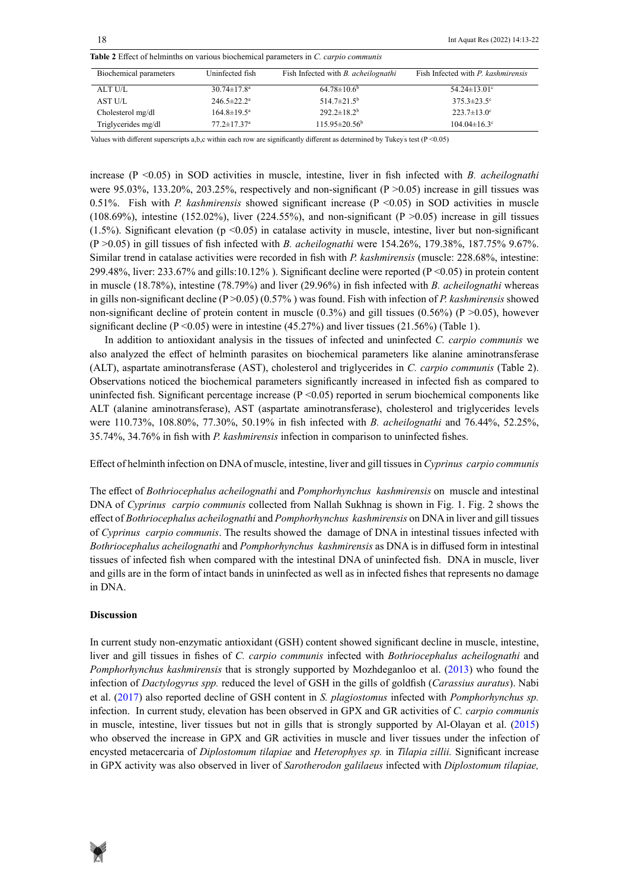| <b>Table 2</b> Effect of helminths on various biochemical parameters in C, carpio communis |  |  |  |  |  |  |
|--------------------------------------------------------------------------------------------|--|--|--|--|--|--|
|--------------------------------------------------------------------------------------------|--|--|--|--|--|--|

| Biochemical parameters | Uninfected fish               | Fish Infected with <i>B. acheilognathi</i> | Fish Infected with P. kashmirensis |
|------------------------|-------------------------------|--------------------------------------------|------------------------------------|
| ALT U/L                | $30.74 \pm 17.8^{\circ}$      | $64.78 \pm 10.6^b$                         | 54.24 $\pm$ 13.01 $^{\circ}$       |
| AST U/L                | $246.5 \pm 22.2^{\circ}$      | $514.7 \pm 21.5^{\circ}$                   | $375.3 \pm 23.5$ °                 |
| Cholesterol mg/dl      | $164.8 \pm 19.5^{\circ}$      | $292.2 \pm 18.2^b$                         | $223.7 \pm 13.0^{\circ}$           |
| Triglycerides mg/dl    | $77.2 \pm 17.37$ <sup>a</sup> | $115.95 \pm 20.56^{\mathrm{b}}$            | $104.04 \pm 16.3$ °                |

Values with different superscripts a,b,c within each row are significantly different as determined by Tukey's test  $(P < 0.05)$ 

increase (P <0.05) in SOD activities in muscle, intestine, liver in fish infected with *B. acheilognathi* were 95.03%, 133.20%, 203.25%, respectively and non-significant  $(P > 0.05)$  increase in gill tissues was 0.51%. Fish with *P. kashmirensis* showed significant increase (P <0.05) in SOD activities in muscle (108.69%), intestine (152.02%), liver (224.55%), and non-significant (P  $>0.05$ ) increase in gill tissues (1.5%). Significant elevation ( $p \le 0.05$ ) in catalase activity in muscle, intestine, liver but non-significant (P ˃0.05) in gill tissues of fish infected with *B. acheilognathi* were 154.26%, 179.38%, 187.75% 9.67%. Similar trend in catalase activities were recorded in fish with *P. kashmirensis* (muscle: 228.68%, intestine: 299.48%, liver: 233.67% and gills:10.12% ). Significant decline were reported (P <0.05) in protein content in muscle (18.78%), intestine (78.79%) and liver (29.96%) in fish infected with *B. acheilognathi* whereas in gills non-significant decline (P ˃0.05) (0.57% ) was found. Fish with infection of *P. kashmirensis* showed non-significant decline of protein content in muscle  $(0.3\%)$  and gill tissues  $(0.56\%)$  (P  $>0.05$ ), however significant decline  $(P \le 0.05)$  were in intestine  $(45.27%)$  and liver tissues  $(21.56%)$  (Table 1).

In addition to antioxidant analysis in the tissues of infected and uninfected *C. carpio communis* we also analyzed the effect of helminth parasites on biochemical parameters like alanine aminotransferase (ALT), aspartate aminotransferase (AST), cholesterol and triglycerides in *C. carpio communis* (Table 2). Observations noticed the biochemical parameters significantly increased in infected fish as compared to uninfected fish. Significant percentage increase  $(P < 0.05)$  reported in serum biochemical components like ALT (alanine aminotransferase), AST (aspartate aminotransferase), cholesterol and triglycerides levels were 110.73%, 108.80%, 77.30%, 50.19% in fish infected with *B. acheilognathi* and 76.44%, 52.25%, 35.74%, 34.76% in fish with *P. kashmirensis* infection in comparison to uninfected fishes.

Effect of helminth infection on DNA of muscle, intestine, liver and gill tissues in *Cyprinus carpio communis* 

The effect of *Bothriocephalus acheilognathi* and *Pomphorhynchus kashmirensis* on muscle and intestinal DNA of *Cyprinus carpio communis* collected from Nallah Sukhnag is shown in Fig. 1. Fig. 2 shows the effect of *Bothriocephalus acheilognathi* and *Pomphorhynchus kashmirensis* on DNA in liver and gill tissues of *Cyprinus carpio communis*. The results showed the damage of DNA in intestinal tissues infected with *Bothriocephalus acheilognathi* and *Pomphorhynchus kashmirensis* as DNA is in diffused form in intestinal tissues of infected fish when compared with the intestinal DNA of uninfected fish. DNA in muscle, liver and gills are in the form of intact bands in uninfected as well as in infected fishes that represents no damage in DNA.

#### **Discussion**

In current study non-enzymatic antioxidant (GSH) content showed significant decline in muscle, intestine, liver and gill tissues in fishes of *C. carpio communis* infected with *Bothriocephalus acheilognathi* and *Pomphorhynchus kashmirensis* that is strongly supported by Mozhdeganloo et al. (2013) who found the infection of *Dactylogyrus spp.* reduced the level of GSH in the gills of goldfish (*Carassius auratus*). Nabi et al. (2017) also reported decline of GSH content in *S. plagiostomus* infected with *Pomphorhynchus sp.* infection.In current study, elevation has been observed in GPX and GR activities of *C. carpio communis* in muscle, intestine, liver tissues but not in gills that is strongly supported by Al-Olayan et al. (2015) who observed the increase in GPX and GR activities in muscle and liver tissues under the infection of encysted metacercaria of *Diplostomum tilapiae* and *Heterophyes sp.* in *Tilapia zillii.* Significant increase in GPX activity was also observed in liver of *Sarotherodon galilaeus* infected with *Diplostomum tilapiae,* 

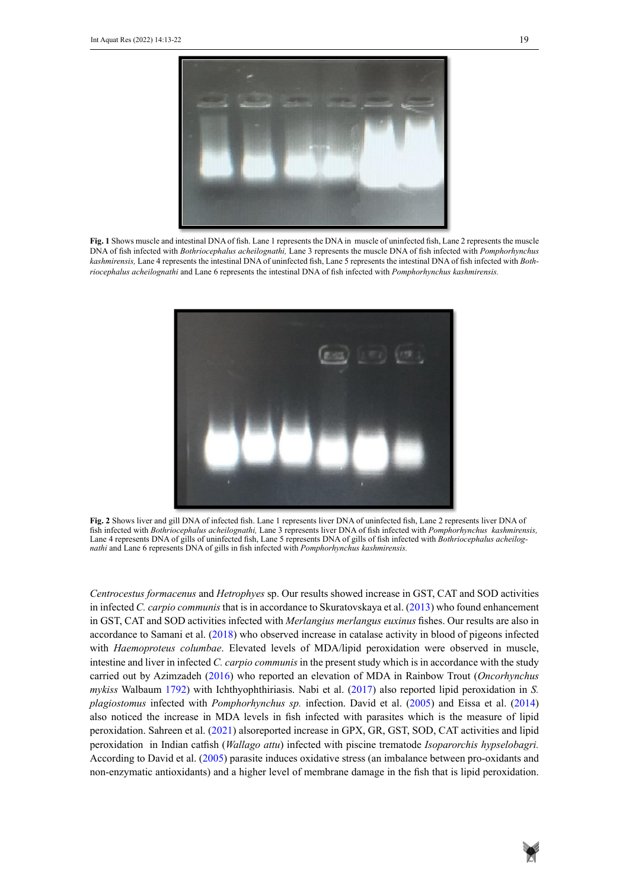

` **Fig. 1** Shows muscle and intestinal DNA of fish. Lane 1 represents the DNA in muscle of uninfected fish, Lane 2 represents the muscle kashmirensis, Lane 4 represents the intestinal DNA of uninfected fish, Lane 5 represents the intestinal DNA of fish infected with Bothriocephalus acheilognathi and Lane 6 represents the intestinal DNA of fish infected with Pomphorhynchus kashmirensis. DNA of fish infected with *Bothriocephalus acheilognathi,* Lane 3 represents the muscle DNA of fish infected with *Pomphorhynchus* 



**Fig. 2** Shows liver and gill DNA of infected fish. Lane 1 represents liver DNA of uninfected fish, Lane 2 represents liver DNA of fish infected with *Bothriocephalus acheilognathi,* Lane 3 represents liver DNA of fish infected with *Pomphorhynchus kashmirensis,* Lane 4 represents DNA of gills of uninfected fish, Lane 5 represents DNA of gills of fish infected with *Bothriocephalus acheilog*nathi and Lane 6 represents DNA of gills in fish infected with *Pomphorhynchus kashmirensis*.

*Centrocestus formacenus and Hetrophyes sp.* Our results showed increase in GST, CAT and SOD activities in infected *C. carpio communis* that is in accordance to Skuratovskaya et al. (2013) who found enhancement in GST, CAT and SOD activities infected with *Merlangius merlangus euxinus* fishes. Our results are also in accordance to Samani et al. (2018) who observed increase in catalase activity in blood of pigeons infected with *Haemoproteus columbae*. Elevated levels of MDA/lipid peroxidation were observed in muscle, intestine and liver in infected *C. carpio communis* in the present study which is in accordance with the study carried out by Azimzadeh (2016) who reported an elevation of MDA in Rainbow Trout (*Oncorhynchus mykiss* Walbaum 1792) with Ichthyophthiriasis. Nabi et al. (2017) also reported lipid peroxidation in *S. plagiostomus* infected with *Pomphorhynchus sp.* infection. David et al. (2005) and Eissa et al. (2014) also noticed the increase in MDA levels in fish infected with parasites which is the measure of lipid peroxidation. Sahreen et al. (2021) alsoreported increase in GPX, GR, GST, SOD, CAT activities and lipid peroxidation in Indian catfish (*Wallago attu*) infected with piscine trematode *Isoparorchis hypselobagri.*  According to David et al. (2005) parasite induces oxidative stress (an imbalance between pro-oxidants and non-enzymatic antioxidants) and a higher level of membrane damage in the fish that is lipid peroxidation.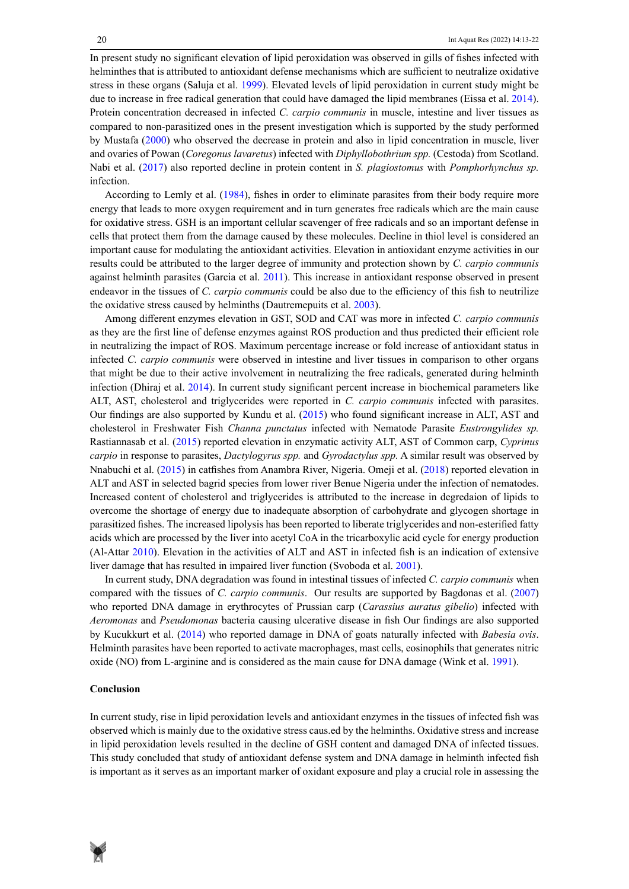In present study no significant elevation of lipid peroxidation was observed in gills of fishes infected with helminthes that is attributed to antioxidant defense mechanisms which are sufficient to neutralize oxidative stress in these organs (Saluja et al. 1999). Elevated levels of lipid peroxidation in current study might be due to increase in free radical generation that could have damaged the lipid membranes (Eissa et al. 2014). Protein concentration decreased in infected *C. carpio communis* in muscle, intestine and liver tissues as compared to non-parasitized ones in the present investigation which is supported by the study performed by Mustafa (2000) who observed the decrease in protein and also in lipid concentration in muscle, liver and ovaries of Powan (*Coregonus lavaretus*) infected with *Diphyllobothrium spp.* (Cestoda) from Scotland. Nabi et al. (2017) also reported decline in protein content in *S. plagiostomus* with *Pomphorhynchus sp.* infection.

According to Lemly et al. (1984), fishes in order to eliminate parasites from their body require more energy that leads to more oxygen requirement and in turn generates free radicals which are the main cause for oxidative stress. GSH is an important cellular scavenger of free radicals and so an important defense in cells that protect them from the damage caused by these molecules. Decline in thiol level is considered an important cause for modulating the antioxidant activities. Elevation in antioxidant enzyme activities in our results could be attributed to the larger degree of immunity and protection shown by *C. carpio communis* against helminth parasites (Garcia et al. 2011). This increase in antioxidant response observed in present endeavor in the tissues of *C. carpio communis* could be also due to the efficiency of this fish to neutrilize the oxidative stress caused by helminths (Dautremepuits et al. 2003).

Among different enzymes elevation in GST, SOD and CAT was more in infected *C. carpio communis* as they are the first line of defense enzymes against ROS production and thus predicted their efficient role in neutralizing the impact of ROS. Maximum percentage increase or fold increase of antioxidant status in infected *C. carpio communis* were observed in intestine and liver tissues in comparison to other organs that might be due to their active involvement in neutralizing the free radicals, generated during helminth infection (Dhiraj et al. 2014). In current study significant percent increase in biochemical parameters like ALT, AST, cholesterol and triglycerides were reported in *C. carpio communis* infected with parasites. Our findings are also supported by Kundu et al. (2015) who found significant increase in ALT, AST and cholesterol in Freshwater Fish *Channa punctatus* infected with Nematode Parasite *Eustrongylides sp.*  Rastiannasab et al. (2015) reported elevation in enzymatic activity ALT, AST of Common carp, *Cyprinus carpio* in response to parasites, *Dactylogyrus spp.* and *Gyrodactylus spp.* A similar result was observed by Nnabuchi et al. (2015) in catfishes from Anambra River, Nigeria. Omeji et al. (2018) reported elevation in ALT and AST in selected bagrid species from lower river Benue Nigeria under the infection of nematodes. Increased content of cholesterol and triglycerides is attributed to the increase in degredaion of lipids to overcome the shortage of energy due to inadequate absorption of carbohydrate and glycogen shortage in parasitized fishes. The increased lipolysis has been reported to liberate triglycerides and non-esterified fatty acids which are processed by the liver into acetyl CoA in the tricarboxylic acid cycle for energy production (Al-Attar 2010). Elevation in the activities of ALT and AST in infected fish is an indication of extensive liver damage that has resulted in impaired liver function (Svoboda et al. 2001).

In current study, DNA degradation was found in intestinal tissues of infected *C. carpio communis* when compared with the tissues of *C. carpio communis*. Our results are supported by Bagdonas et al. (2007) who reported DNA damage in erythrocytes of Prussian carp (*Carassius auratus gibelio*) infected with *Aeromonas* and *Pseudomonas* bacteria causing ulcerative disease in fish Our findings are also supported by Kucukkurt et al. (2014) who reported damage in DNA of goats naturally infected with *Babesia ovis*. Helminth parasites have been reported to activate macrophages, mast cells, eosinophils that generates nitric oxide (NO) from L-arginine and is considered as the main cause for DNA damage (Wink et al. 1991).

## **Conclusion**

In current study, rise in lipid peroxidation levels and antioxidant enzymes in the tissues of infected fish was observed which is mainly due to the oxidative stress caus.ed by the helminths. Oxidative stress and increase in lipid peroxidation levels resulted in the decline of GSH content and damaged DNA of infected tissues. This study concluded that study of antioxidant defense system and DNA damage in helminth infected fish is important as it serves as an important marker of oxidant exposure and play a crucial role in assessing the

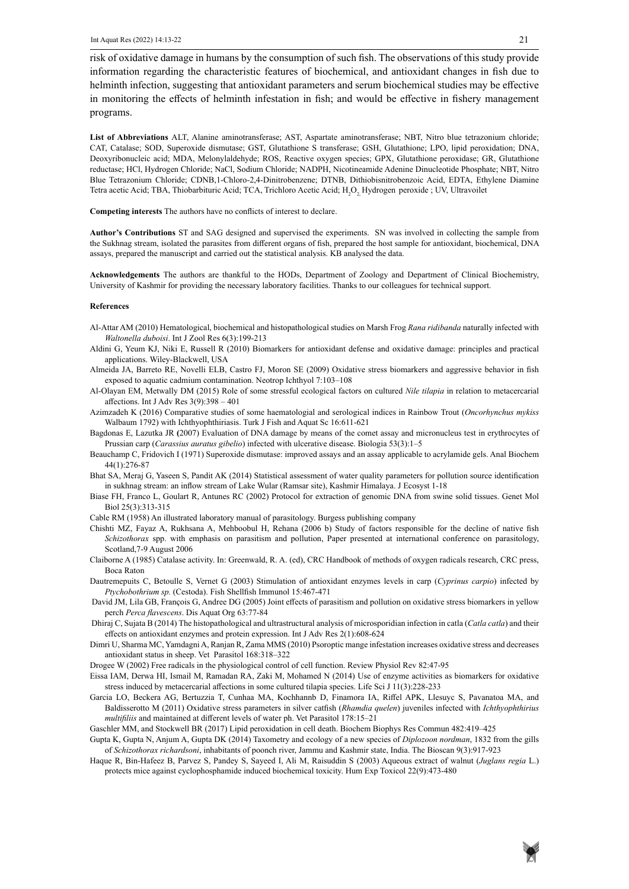risk of oxidative damage in humans by the consumption of such fish. The observations of this study provide information regarding the characteristic features of biochemical, and antioxidant changes in fish due to helminth infection, suggesting that antioxidant parameters and serum biochemical studies may be effective in monitoring the effects of helminth infestation in fish; and would be effective in fishery management programs.

**List of Abbreviations** ALT, Alanine aminotransferase; AST, Aspartate aminotransferase; NBT, Nitro blue tetrazonium chloride; CAT, Catalase; SOD, Superoxide dismutase; GST, Glutathione S transferase; GSH, Glutathione; LPO, lipid peroxidation; DNA, Deoxyribonucleic acid; MDA, Melonylaldehyde; ROS, Reactive oxygen species; GPX, Glutathione peroxidase; GR, Glutathione reductase; HCl, Hydrogen Chloride; NaCl, Sodium Chloride; NADPH, Nicotineamide Adenine Dinucleotide Phosphate; NBT, Nitro Blue Tetrazonium Chloride; CDNB,1-Chloro-2,4-Dinitrobenzene; DTNB, Dithiobisnitrobenzoic Acid, EDTA, Ethylene Diamine Tetra acetic Acid; TBA, Thiobarbituric Acid; TCA, Trichloro Acetic Acid;  $\rm H_2O_2$  Hydrogen peroxide ; UV, Ultravoilet

**Competing interests** The authors have no conflicts of interest to declare.

**Author's Contributions** ST and SAG designed and supervised the experiments. SN was involved in collecting the sample from the Sukhnag stream, isolated the parasites from different organs of fish, prepared the host sample for antioxidant, biochemical, DNA assays, prepared the manuscript and carried out the statistical analysis. KB analysed the data.

**Acknowledgements** The authors are thankful to the HODs, Department of Zoology and Department of Clinical Biochemistry, University of Kashmir for providing the necessary laboratory facilities. Thanks to our colleagues for technical support.

#### **References**

- Al-Attar AM (2010) Hematological, biochemical and histopathological studies on Marsh Frog *Rana ridibanda* naturally infected with *Waltonella duboisi*. Int J Zool Res 6(3):199-213
- Aldini G, Yeum KJ, Niki E, Russell R (2010) Biomarkers for antioxidant defense and oxidative damage: principles and practical applications. Wiley-Blackwell, USA
- Almeida JA, Barreto RE, Novelli ELB, Castro FJ, Moron SE (2009) Oxidative stress biomarkers and aggressive behavior in fish exposed to aquatic cadmium contamination. Neotrop Ichthyol 7:103–108
- Al-Olayan EM, Metwally DM (2015) Role of some stressful ecological factors on cultured *Nile tilapia* in relation to metacercarial affections. Int J Adv Res 3(9):398 – 401
- Azimzadeh K (2016) Comparative studies of some haematologial and serological indices in Rainbow Trout (*Oncorhynchus mykiss*  Walbaum 1792) with Ichthyophthiriasis. Turk J Fish and Aquat Sc 16:611-621
- Bagdonas E, Lazutka JR **(**2007) Evaluation of DNA damage by means of the comet assay and micronucleus test in erythrocytes of Prussian carp (*Carassius auratus gibelio*) infected with ulcerative disease. Biologia 53(3):1–5
- [Beauchamp C](http://www.ncbi.nlm.nih.gov/pubmed/?term=Beauchamp C%5BAuthor%5D&cauthor=true&cauthor_uid=4943714), [Fridovich I](http://www.ncbi.nlm.nih.gov/pubmed/?term=Fridovich I%5BAuthor%5D&cauthor=true&cauthor_uid=4943714) (1971) Superoxide dismutase: improved assays and an assay applicable to acrylamide gels. [Anal](http://www.ncbi.nlm.nih.gov/pubmed/4943714) Biochem 44(1):276-87
- Bhat SA, Meraj G, Yaseen S, Pandit AK (2014) Statistical assessment of water quality parameters for pollution source identification in sukhnag stream: an inflow stream of Lake Wular (Ramsar site), Kashmir Himalaya. J Ecosyst 1-18
- Biase FH, Franco L, Goulart R, Antunes RC (2002) Protocol for extraction of genomic DNA from swine solid tissues. Genet Mol Biol 25(3):313-315
- Cable RM (1958) An illustrated laboratory manual of parasitology. Burgess publishing company
- Chishti MZ, Fayaz A, Rukhsana A, Mehboobul H, Rehana (2006 b) Study of factors responsible for the decline of native fish *Schizothorax* spp. with emphasis on parasitism and pollution, Paper presented at international conference on parasitology, Scotland,7-9 August 2006
- Claiborne A (1985) Catalase activity. In: Greenwald, R. A. (ed), CRC Handbook of methods of oxygen radicals research, CRC press, Boca Raton
- Dautremepuits C, Betoulle S, Vernet G (2003) Stimulation of antioxidant enzymes levels in carp (*Cyprinus carpio*) infected by *Ptychobothrium sp.* (Cestoda). Fish Shellfish Immunol 15:467-471
- David JM, Lila GB, François G, Andree DG (2005) Joint effects of parasitism and pollution on oxidative stress biomarkers in yellow perch *Perca flavescens*. Dis Aquat Org 63:77-84
- Dhiraj C, Sujata B (2014) The histopathological and ultrastructural analysis of microsporidian infection in catla (*Catla catla*) and their effects on antioxidant enzymes and protein expression. Int J Adv Res 2(1):608-624
- Dimri U, Sharma MC, Yamdagni A, Ranjan R, Zama MMS (2010) Psoroptic mange infestation increases oxidative stress and decreases antioxidant status in sheep. Vet Parasitol 168:318–322
- Drogee W (2002) Free radicals in the physiological control of cell function. Review Physiol Rev 82:47-95
- Eissa IAM, Derwa HI, Ismail M, Ramadan RA, Zaki M, Mohamed N (2014) Use of enzyme activities as biomarkers for oxidative stress induced by metacercarial affections in some cultured tilapia species. Life Sci J 11(3):228-233
- Garcia LO, Beckera AG, Bertuzzia T, Cunhaa MA, Kochhannb D, Finamora IA, Riffel APK, Llesuyc S, Pavanatoa MA, and Baldisserotto M (2011) Oxidative stress parameters in silver catfish (*Rhamdia quelen*) juveniles infected with *Ichthyophthirius multifiliis* and maintained at different levels of water ph. Vet Parasitol 178:15–21
- Gaschler MM, and Stockwell BR (2017) Lipid peroxidation in cell death. Biochem Biophys Res Commun 482:419–425
- Gupta K, Gupta N, Anjum A, Gupta DK (2014) Taxometry and ecology of a new species of *Diplozoon nordman*, 1832 from the gills of *Schizothorax richardsoni*, inhabitants of poonch river, Jammu and Kashmir state, India. The Bioscan 9(3):917-923
- Haque R, Bin-Hafeez B, Parvez S, Pandey S, Sayeed I, Ali M, Raisuddin S (2003) Aqueous extract of walnut (*Juglans regia* L.) protects mice against cyclophosphamide induced biochemical toxicity. Hum Exp Toxicol 22(9):473-480